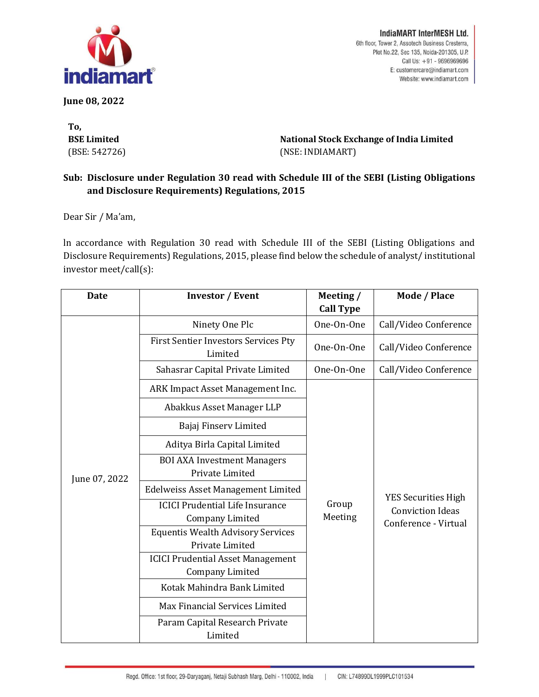

**June 08, 2022**

**To, BSE Limited** (BSE: 542726)

IndiaMART InterMESH Ltd. 6th floor, Tower 2, Assotech Business Cresterra, Plot No.22, Sec 135, Noida-201305, U.P. Call Us: +91 - 9696969696 E: customercare@indiamart.com Website: www.indiamart.com

**National Stock Exchange of India Limited** (NSE: INDIAMART)

## **Sub: Disclosure under Regulation 30 read with Schedule III of the SEBI (Listing Obligations and Disclosure Requirements) Regulations, 2015**

Dear Sir / Ma'am,

ln accordance with Regulation 30 read with Schedule III of the SEBI (Listing Obligations and Disclosure Requirements) Regulations, 2015, please find below the schedule of analyst/ institutional investor meet/call(s):

| Date          | <b>Investor / Event</b>                                            | Meeting /<br><b>Call Type</b> | Mode / Place                                                                  |
|---------------|--------------------------------------------------------------------|-------------------------------|-------------------------------------------------------------------------------|
| June 07, 2022 | Ninety One Plc                                                     | One-On-One                    | Call/Video Conference                                                         |
|               | First Sentier Investors Services Pty<br>Limited                    | One-On-One                    | Call/Video Conference                                                         |
|               | Sahasrar Capital Private Limited                                   | One-On-One                    | Call/Video Conference                                                         |
|               | ARK Impact Asset Management Inc.                                   |                               |                                                                               |
|               | Abakkus Asset Manager LLP                                          |                               |                                                                               |
|               | Bajaj Finserv Limited                                              |                               |                                                                               |
|               | Aditya Birla Capital Limited                                       |                               |                                                                               |
|               | <b>BOI AXA Investment Managers</b><br>Private Limited              |                               |                                                                               |
|               | Edelweiss Asset Management Limited                                 |                               |                                                                               |
|               | <b>ICICI Prudential Life Insurance</b><br><b>Company Limited</b>   | Group<br>Meeting              | <b>YES Securities High</b><br><b>Conviction Ideas</b><br>Conference - Virtual |
|               | <b>Equentis Wealth Advisory Services</b><br>Private Limited        |                               |                                                                               |
|               | <b>ICICI Prudential Asset Management</b><br><b>Company Limited</b> |                               |                                                                               |
|               | Kotak Mahindra Bank Limited                                        |                               |                                                                               |
|               | Max Financial Services Limited                                     |                               |                                                                               |
|               | Param Capital Research Private<br>Limited                          |                               |                                                                               |